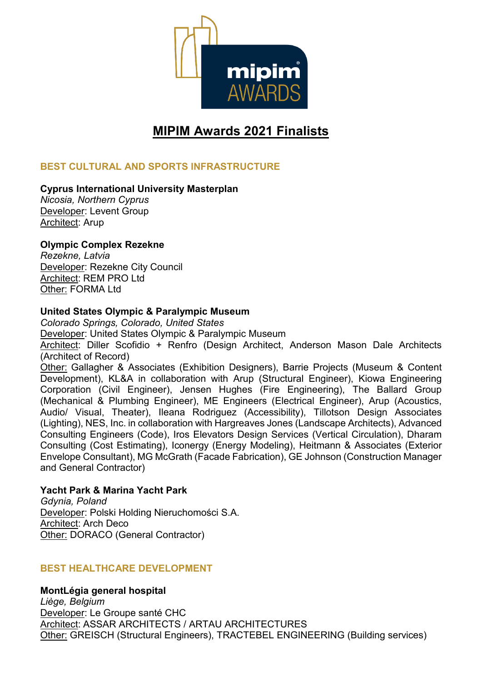

# **MIPIM Awards 2021 Finalists**

# **BEST CULTURAL AND SPORTS INFRASTRUCTURE**

#### **Cyprus International University Masterplan**

*Nicosia, Northern Cyprus* Developer: Levent Group Architect: Arup

## **Olympic Complex Rezekne**

*Rezekne, Latvia* Developer: Rezekne City Council Architect: REM PRO Ltd Other: FORMA Ltd

#### **United States Olympic & Paralympic Museum**

*Colorado Springs, Colorado, United States* Developer: United States Olympic & Paralympic Museum Architect: Diller Scofidio + Renfro (Design Architect, Anderson Mason Dale Architects (Architect of Record) Other: Gallagher & Associates (Exhibition Designers), Barrie Projects (Museum & Content Development), KL&A in collaboration with Arup (Structural Engineer), Kiowa Engineering Corporation (Civil Engineer), Jensen Hughes (Fire Engineering), The Ballard Group (Mechanical & Plumbing Engineer), ME Engineers (Electrical Engineer), Arup (Acoustics, Audio/ Visual, Theater), Ileana Rodriguez (Accessibility), Tillotson Design Associates (Lighting), NES, Inc. in collaboration with Hargreaves Jones (Landscape Architects), Advanced Consulting Engineers (Code), Iros Elevators Design Services (Vertical Circulation), Dharam Consulting (Cost Estimating), Iconergy (Energy Modeling), Heitmann & Associates (Exterior Envelope Consultant), MG McGrath (Facade Fabrication), GE Johnson (Construction Manager and General Contractor)

#### **Yacht Park & Marina Yacht Park**

*Gdynia, Poland* Developer: Polski Holding Nieruchomości S.A. Architect: Arch Deco Other: DORACO (General Contractor)

#### **BEST HEALTHCARE DEVELOPMENT**

#### **MontLégia general hospital**

*Liège, Belgium* Developer: Le Groupe santé CHC Architect: ASSAR ARCHITECTS / ARTAU ARCHITECTURES Other: GREISCH (Structural Engineers), TRACTEBEL ENGINEERING (Building services)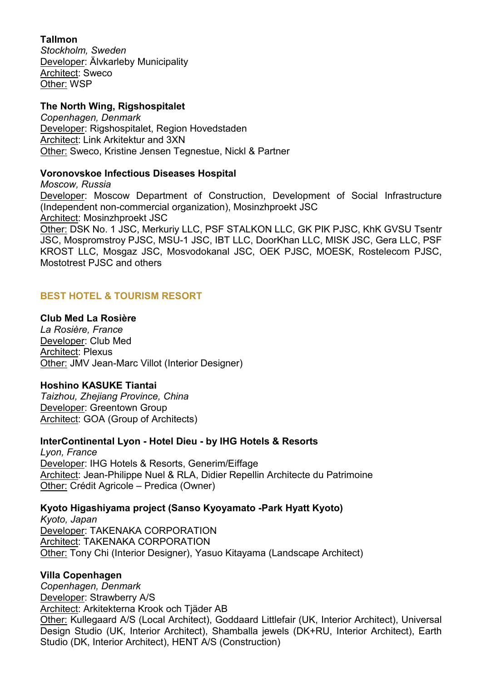## **Tallmon**

*Stockholm, Sweden* Developer: Älvkarleby Municipality Architect: Sweco Other: WSP

## **The North Wing, Rigshospitalet**

*Copenhagen, Denmark* Developer: Rigshospitalet, Region Hovedstaden Architect: Link Arkitektur and 3XN Other: Sweco, Kristine Jensen Tegnestue, Nickl & Partner

## **Voronovskoe Infectious Diseases Hospital**

*Moscow, Russia* Developer: Moscow Department of Construction, Development of Social Infrastructure (Independent non-commercial organization), Mosinzhproekt JSC Architect: Mosinzhproekt JSC Other: DSK No. 1 JSC, Merkuriy LLC, PSF STALKON LLC, GK PIK PJSC, KhK GVSU Tsentr JSC, Mospromstroy PJSC, MSU-1 JSC, IBT LLC, DoorKhan LLC, MISK JSC, Gera LLC, PSF KROST LLC, Mosgaz JSC, Mosvodokanal JSC, OEK PJSC, MOESK, Rostelecom PJSC, Mostotrest PJSC and others

# **BEST HOTEL & TOURISM RESORT**

#### **Club Med La Rosière**

*La Rosière, France* Developer: Club Med Architect: Plexus Other: JMV Jean-Marc Villot (Interior Designer)

#### **Hoshino KASUKE Tiantai**

*Taizhou, Zhejiang Province, China* Developer: Greentown Group Architect: GOA (Group of Architects)

#### **InterContinental Lyon - Hotel Dieu - by IHG Hotels & Resorts**

*Lyon, France* Developer: IHG Hotels & Resorts, Generim/Eiffage Architect: Jean-Philippe Nuel & RLA, Didier Repellin Architecte du Patrimoine Other: Crédit Agricole – Predica (Owner)

#### **Kyoto Higashiyama project (Sanso Kyoyamato -Park Hyatt Kyoto)**

*Kyoto, Japan* Developer: TAKENAKA CORPORATION Architect: TAKENAKA CORPORATION Other: Tony Chi (Interior Designer), Yasuo Kitayama (Landscape Architect)

#### **Villa Copenhagen**

*Copenhagen, Denmark* Developer: Strawberry A/S Architect: Arkitekterna Krook och Tjäder AB Other: Kullegaard A/S (Local Architect), Goddaard Littlefair (UK, Interior Architect), Universal Design Studio (UK, Interior Architect), Shamballa jewels (DK+RU, Interior Architect), Earth Studio (DK, Interior Architect), HENT A/S (Construction)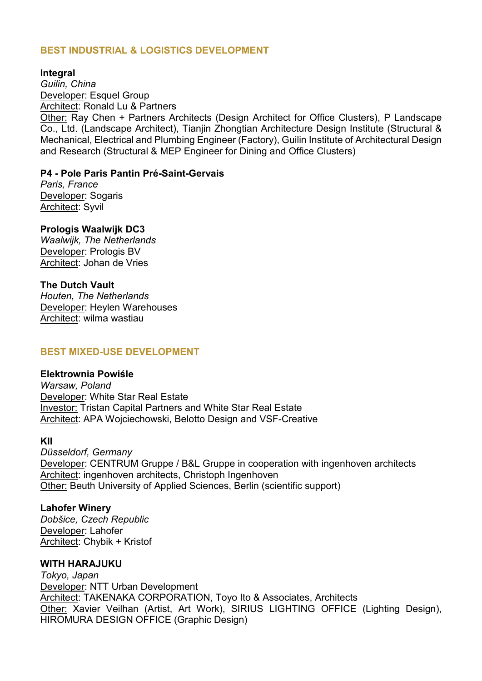# **BEST INDUSTRIAL & LOGISTICS DEVELOPMENT**

#### **Integral**

*Guilin, China* Developer: Esquel Group Architect: Ronald Lu & Partners

Other: Ray Chen + Partners Architects (Design Architect for Office Clusters), P Landscape Co., Ltd. (Landscape Architect), Tianjin Zhongtian Architecture Design Institute (Structural & Mechanical, Electrical and Plumbing Engineer (Factory), Guilin Institute of Architectural Design and Research (Structural & MEP Engineer for Dining and Office Clusters)

#### **P4 - Pole Paris Pantin Pré-Saint-Gervais**

*Paris, France* Developer: Sogaris Architect: Syvil

#### **Prologis Waalwijk DC3**

*Waalwijk, The Netherlands* Developer: Prologis BV Architect: Johan de Vries

#### **The Dutch Vault**

*Houten, The Netherlands* Developer: Heylen Warehouses Architect: wilma wastiau

#### **BEST MIXED-USE DEVELOPMENT**

#### **Elektrownia Powiśle**

*Warsaw, Poland* Developer: White Star Real Estate Investor: Tristan Capital Partners and White Star Real Estate Architect: APA Wojciechowski, Belotto Design and VSF-Creative

#### **KII**

*Düsseldorf, Germany* Developer: CENTRUM Gruppe / B&L Gruppe in cooperation with ingenhoven architects Architect: ingenhoven architects, Christoph Ingenhoven Other: Beuth University of Applied Sciences, Berlin (scientific support)

#### **Lahofer Winery**

*Dobšice, Czech Republic* Developer: Lahofer Architect: Chybik + Kristof

## **WITH HARAJUKU**

*Tokyo, Japan* Developer: NTT Urban Development Architect: TAKENAKA CORPORATION, Toyo Ito & Associates, Architects Other: Xavier Veilhan (Artist, Art Work), SIRIUS LIGHTING OFFICE (Lighting Design), HIROMURA DESIGN OFFICE (Graphic Design)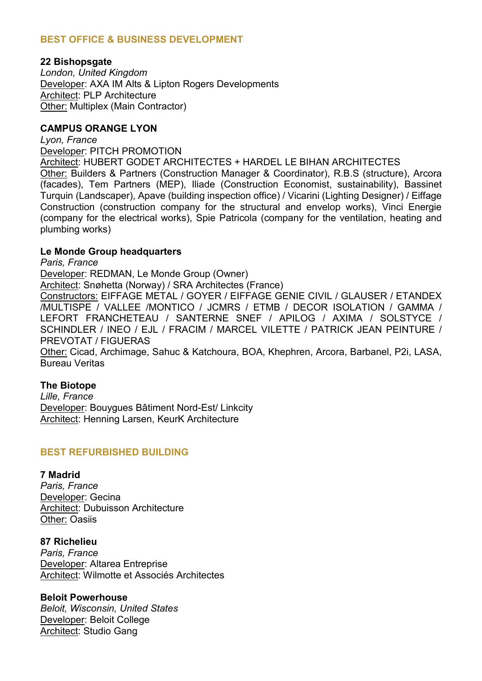## **BEST OFFICE & BUSINESS DEVELOPMENT**

#### **22 Bishopsgate**

*London, United Kingdom* Developer: AXA IM Alts & Lipton Rogers Developments Architect: PLP Architecture Other: Multiplex (Main Contractor)

#### **CAMPUS ORANGE LYON**

*Lyon, France*

Developer: PITCH PROMOTION

Architect: HUBERT GODET ARCHITECTES + HARDEL LE BIHAN ARCHITECTES Other: Builders & Partners (Construction Manager & Coordinator), R.B.S (structure), Arcora (facades), Tem Partners (MEP), Iliade (Construction Economist, sustainability), Bassinet Turquin (Landscaper), Apave (building inspection office) / Vicarini (Lighting Designer) / Eiffage Construction (construction company for the structural and envelop works), Vinci Energie (company for the electrical works), Spie Patricola (company for the ventilation, heating and plumbing works)

#### **Le Monde Group headquarters**

*Paris, France* Developer: REDMAN, Le Monde Group (Owner) Architect: Snøhetta (Norway) / SRA Architectes (France) Constructors: EIFFAGE METAL / GOYER / EIFFAGE GENIE CIVIL / GLAUSER / ETANDEX /MULTISPE / VALLEE /MONTICO / JCMRS / ETMB / DECOR ISOLATION / GAMMA / LEFORT FRANCHETEAU / SANTERNE SNEF / APILOG / AXIMA / SOLSTYCE / SCHINDLER / INEO / EJL / FRACIM / MARCEL VILETTE / PATRICK JEAN PEINTURE / PREVOTAT / FIGUERAS Other: Cicad, Archimage, Sahuc & Katchoura, BOA, Khephren, Arcora, Barbanel, P2i, LASA, Bureau Veritas

#### **The Biotope**

*Lille, France* Developer: Bouygues Bâtiment Nord-Est/ Linkcity Architect: Henning Larsen, KeurK Architecture

#### **BEST REFURBISHED BUILDING**

#### **7 Madrid**

*Paris, France* Developer: Gecina Architect: Dubuisson Architecture Other: Oasiis

**87 Richelieu** *Paris, France* Developer: Altarea Entreprise Architect: Wilmotte et Associés Architectes

**Beloit Powerhouse** *Beloit, Wisconsin, United States* Developer: Beloit College **Architect: Studio Gang**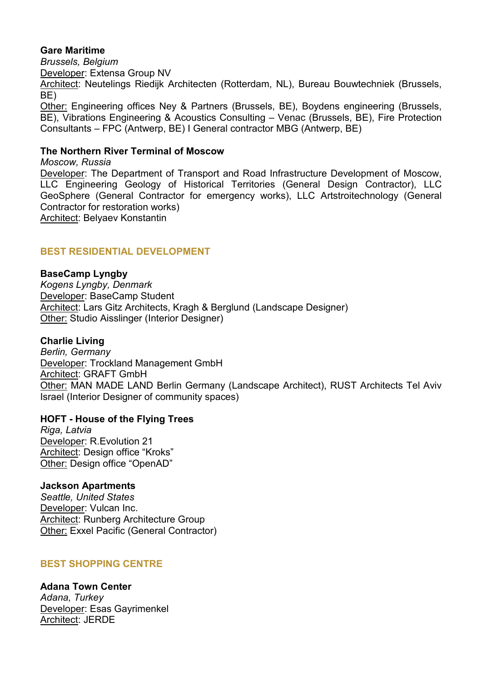#### **Gare Maritime**

*Brussels, Belgium* Developer: Extensa Group NV Architect: Neutelings Riedijk Architecten (Rotterdam, NL), Bureau Bouwtechniek (Brussels, BE) Other: Engineering offices Ney & Partners (Brussels, BE), Boydens engineering (Brussels, BE), Vibrations Engineering & Acoustics Consulting – Venac (Brussels, BE), Fire Protection Consultants – FPC (Antwerp, BE) I General contractor MBG (Antwerp, BE)

# **The Northern River Terminal of Moscow**

*Moscow, Russia* Developer: The Department of Transport and Road Infrastructure Development of Moscow, LLC Engineering Geology of Historical Territories (General Design Contractor), LLC GeoSphere (General Contractor for emergency works), LLC Artstroitechnology (General Contractor for restoration works) Architect: Belyaev Konstantin

## **BEST RESIDENTIAL DEVELOPMENT**

#### **BaseCamp Lyngby**

*Kogens Lyngby, Denmark* Developer: BaseCamp Student Architect: Lars Gitz Architects, Kragh & Berglund (Landscape Designer) Other: Studio Aisslinger (Interior Designer)

#### **Charlie Living**

*Berlin, Germany* Developer: Trockland Management GmbH Architect: GRAFT GmbH Other: MAN MADE LAND Berlin Germany (Landscape Architect), RUST Architects Tel Aviv Israel (Interior Designer of community spaces)

#### **HOFT - House of the Flying Trees**

*Riga, Latvia* Developer: R.Evolution 21 Architect: Design office "Kroks" Other: Design office "OpenAD"

#### **Jackson Apartments**

*Seattle, United States* Developer: Vulcan Inc. Architect: Runberg Architecture Group Other: Exxel Pacific (General Contractor)

#### **BEST SHOPPING CENTRE**

**Adana Town Center** *Adana, Turkey* Developer: Esas Gayrimenkel Architect: JERDE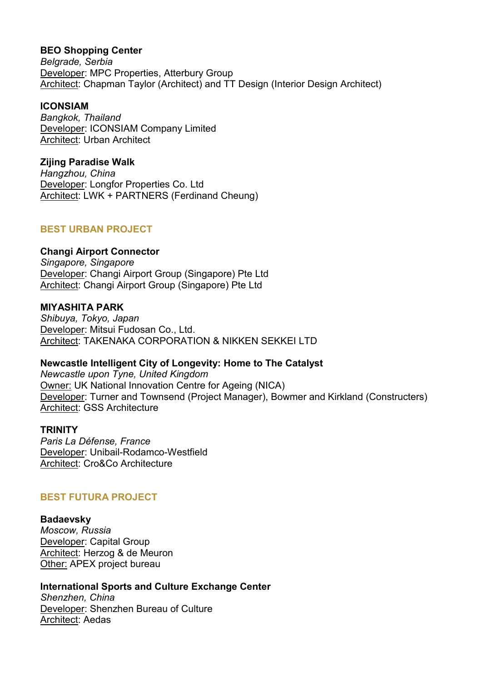## **BEO Shopping Center**

*Belgrade, Serbia* Developer: MPC Properties, Atterbury Group Architect: Chapman Taylor (Architect) and TT Design (Interior Design Architect)

## **ICONSIAM**

*Bangkok, Thailand* Developer: ICONSIAM Company Limited Architect: Urban Architect

# **Zijing Paradise Walk**

*Hangzhou, China* Developer: Longfor Properties Co. Ltd Architect: LWK + PARTNERS (Ferdinand Cheung)

# **BEST URBAN PROJECT**

## **Changi Airport Connector**

*Singapore, Singapore* Developer: Changi Airport Group (Singapore) Pte Ltd Architect: Changi Airport Group (Singapore) Pte Ltd

## **MIYASHITA PARK**

*Shibuya, Tokyo, Japan* Developer: Mitsui Fudosan Co., Ltd. Architect: TAKENAKA CORPORATION & NIKKEN SEKKEI LTD

# **Newcastle Intelligent City of Longevity: Home to The Catalyst**

*Newcastle upon Tyne, United Kingdom* Owner: UK National Innovation Centre for Ageing (NICA) Developer: Turner and Townsend (Project Manager), Bowmer and Kirkland (Constructers) Architect: GSS Architecture

## **TRINITY**

*Paris La Défense, France* Developer: Unibail-Rodamco-Westfield Architect: Cro&Co Architecture

# **BEST FUTURA PROJECT**

# **Badaevsky**

*Moscow, Russia* Developer: Capital Group Architect: Herzog & de Meuron Other: APEX project bureau

# **International Sports and Culture Exchange Center**

*Shenzhen, China* Developer: Shenzhen Bureau of Culture Architect: Aedas